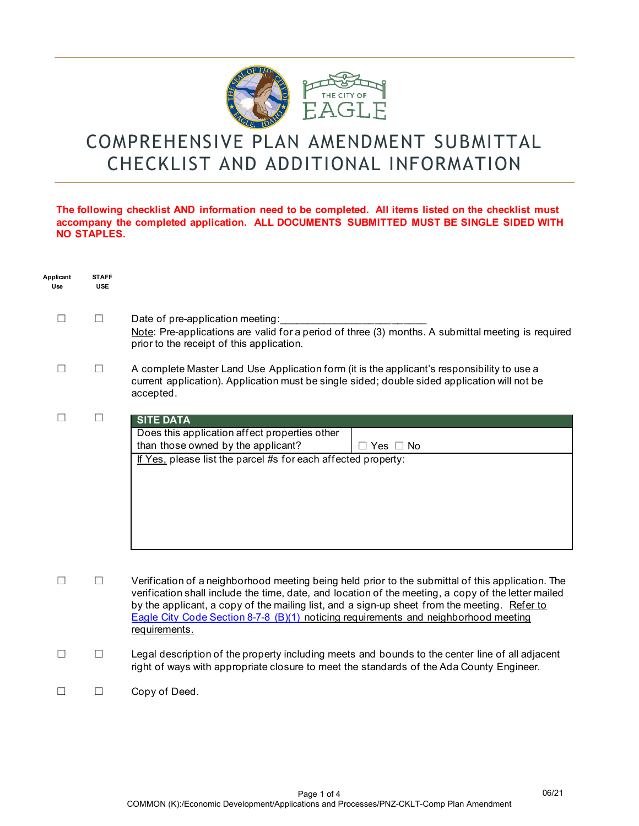

# COMPREHENSIVE PLAN AMENDMENT SUBMITTAL CHECKLIST AND ADDITIONAL INFORMATION

#### **The following checklist AND information need to be completed. All items listed on the checklist must accompany the completed application. ALL DOCUMENTS SUBMITTED MUST BE SINGLE SIDED WITH NO STAPLES.**

| Applicant<br>Use | <b>STAFF</b><br><b>USE</b> |                                                                                                                                                                                                                                                                                                                                                                                                                  |
|------------------|----------------------------|------------------------------------------------------------------------------------------------------------------------------------------------------------------------------------------------------------------------------------------------------------------------------------------------------------------------------------------------------------------------------------------------------------------|
|                  | ப                          | Date of pre-application meeting:<br>Note: Pre-applications are valid for a period of three (3) months. A submittal meeting is required<br>prior to the receipt of this application.                                                                                                                                                                                                                              |
| П                | $\Box$                     | A complete Master Land Use Application form (it is the applicant's responsibility to use a<br>current application). Application must be single sided; double sided application will not be<br>accepted.                                                                                                                                                                                                          |
| П                | $\Box$                     | <b>SITE DATA</b><br>Does this application affect properties other<br>than those owned by the applicant?<br>$\Box$ Yes $\Box$ No<br>If Yes, please list the parcel #s for each affected property:                                                                                                                                                                                                                 |
|                  | $\Box$                     | Verification of a neighborhood meeting being held prior to the submittal of this application. The<br>verification shall include the time, date, and location of the meeting, a copy of the letter mailed<br>by the applicant, a copy of the mailing list, and a sign-up sheet from the meeting. Refer to<br>Eagle City Code Section 8-7-8 (B)(1) noticing requirements and neighborhood meeting<br>requirements. |
|                  | Ш                          | Legal description of the property including meets and bounds to the center line of all adjacent<br>right of ways with appropriate closure to meet the standards of the Ada County Engineer.                                                                                                                                                                                                                      |
|                  |                            | Copy of Deed.                                                                                                                                                                                                                                                                                                                                                                                                    |

06/21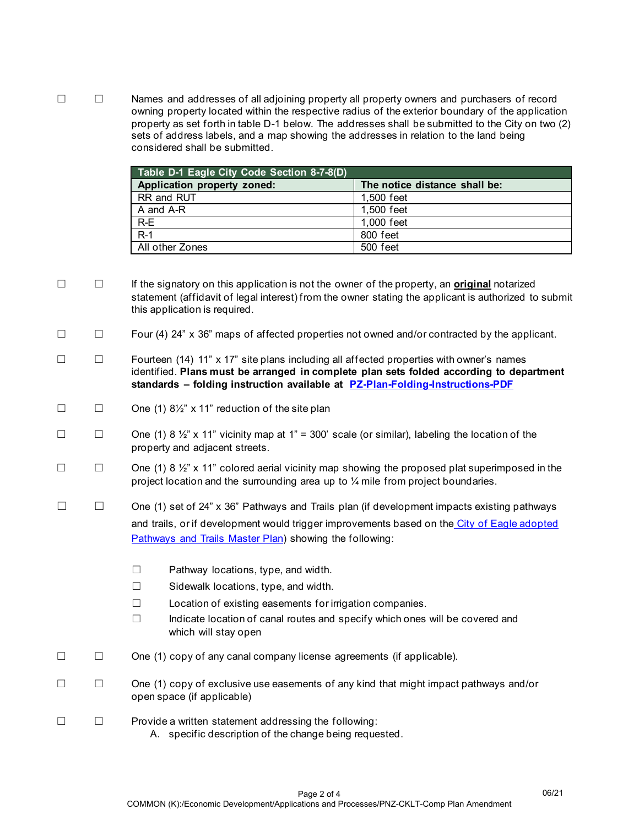☐ ☐ Names and addresses of all adjoining property all property owners and purchasers of record owning property located within the respective radius of the exterior boundary of the application property as set forth in table D-1 below. The addresses shall be submitted to the City on two (2) sets of address labels, and a map showing the addresses in relation to the land being considered shall be submitted.

| Table D-1 Eagle City Code Section 8-7-8(D) |                               |  |  |  |
|--------------------------------------------|-------------------------------|--|--|--|
| Application property zoned:                | The notice distance shall be: |  |  |  |
| RR and RUT                                 | 1.500 feet                    |  |  |  |
| A and A-R                                  | 1.500 feet                    |  |  |  |
| $R-E$                                      | 1,000 feet                    |  |  |  |
| $R-1$                                      | 800 feet                      |  |  |  |
| All other Zones                            | 500 feet                      |  |  |  |

☐ ☐ If the signatory on this application is not the owner of the property, an **original** notarized statement (affidavit of legal interest) from the owner stating the applicant is authorized to submit this application is required.

☐ ☐ Four (4) 24" x 36" maps of affected properties not owned and/or contracted by the applicant.

- ☐ ☐ Fourteen (14) 11" x 17" site plans including all affected properties with owner's names identified. **Plans must be arranged in complete plan sets folded according to department standards – folding instruction available at [PZ-Plan-Folding-Instructions-PDF](http://www.cityofeagle.org/DocumentCenter/View/3626/PZ-Plan-Folding-Instructions-PDF?bidId=)**
- $\Box$   $\Box$  One (1)  $8\frac{1}{2}$ " x 11" reduction of the site plan
- $\Box$  One (1) 8 ½" x 11" vicinity map at 1" = 300' scale (or similar), labeling the location of the property and adjacent streets.
- $\Box$  One (1) 8  $\frac{1}{2}$  x 11" colored aerial vicinity map showing the proposed plat superimposed in the project location and the surrounding area up to ¼ mile from project boundaries.
- ☐ ☐ One (1) set of 24" x 36" Pathways and Trails plan (if development impacts existing pathways and trails, or if development would trigger improvements based on the [City of Eagle adopted](https://www.cityofeagle.org/DocumentCenter/View/1762/Eagle-Pathways-and-Trails-Plan----FINAL?bidId=)  [Pathways and Trails Master Plan\)](https://www.cityofeagle.org/DocumentCenter/View/1762/Eagle-Pathways-and-Trails-Plan----FINAL?bidId=) showing the following:
	- ☐ Pathway locations, type, and width.
	- ☐ Sidewalk locations, type, and width.
	- ☐ Location of existing easements for irrigation companies.
	- ☐ Indicate location of canal routes and specify which ones will be covered and which will stay open
- ☐ ☐ One (1) copy of any canal company license agreements (if applicable).
- ☐ ☐ One (1) copy of exclusive use easements of any kind that might impact pathways and/or open space (if applicable)
- ☐ ☐ Provide a written statement addressing the following: A. specific description of the change being requested.

06/21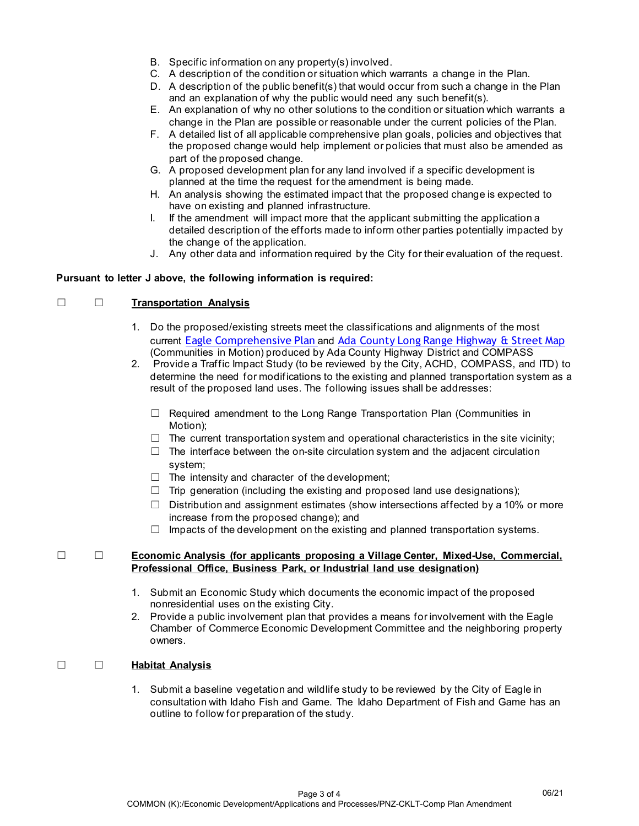- B. Specific information on any property(s) involved.
- C. A description of the condition or situation which warrants a change in the Plan.
- D. A description of the public benefit(s) that would occur from such a change in the Plan and an explanation of why the public would need any such benefit(s).
- E. An explanation of why no other solutions to the condition or situation which warrants a change in the Plan are possible or reasonable under the current policies of the Plan.
- F. A detailed list of all applicable comprehensive plan goals, policies and objectives that the proposed change would help implement or policies that must also be amended as part of the proposed change.
- G. A proposed development plan for any land involved if a specific development is planned at the time the request for the amendment is being made.
- H. An analysis showing the estimated impact that the proposed change is expected to have on existing and planned infrastructure.
- I. If the amendment will impact more that the applicant submitting the application a detailed description of the efforts made to inform other parties potentially impacted by the change of the application.
- J. Any other data and information required by the City for their evaluation of the request.

#### **Pursuant to letter J above, the following information is required:**

#### ☐ ☐ **Transportation Analysis**

- 1. Do the proposed/existing streets meet the classifications and alignments of the most current [Eagle Comprehensive Plan](https://www.cityofeagle.org/DocumentCenter/View/980/Comprehensive-Plan---Eagle-is-HOME--PDF) and [Ada County Long Range Highway & Street Map](https://www.achdidaho.org/Documents/Engineering/Etrakit/FunctionalClassMap2040.pdf) (Communities in Motion) produced by Ada County Highway District and COMPASS
- 2. Provide a Traffic Impact Study (to be reviewed by the City, ACHD, COMPASS, and ITD) to determine the need for modifications to the existing and planned transportation system as a result of the proposed land uses. The following issues shall be addresses:
	- ☐ Required amendment to the Long Range Transportation Plan (Communities in Motion);
	- $\Box$  The current transportation system and operational characteristics in the site vicinity;
	- $\Box$  The interface between the on-site circulation system and the adjacent circulation system;
	- $\Box$  The intensity and character of the development;
	- $\Box$  Trip generation (including the existing and proposed land use designations);
	- $\Box$  Distribution and assignment estimates (show intersections affected by a 10% or more increase from the proposed change); and
	- $\Box$  Impacts of the development on the existing and planned transportation systems.

#### ☐ ☐ **Economic Analysis (for applicants proposing a Village Center, Mixed-Use, Commercial, Professional Office, Business Park, or Industrial land use designation)**

- 1. Submit an Economic Study which documents the economic impact of the proposed nonresidential uses on the existing City.
- 2. Provide a public involvement plan that provides a means for involvement with the Eagle Chamber of Commerce Economic Development Committee and the neighboring property owners.

### ☐ ☐ **Habitat Analysis**

1. Submit a baseline vegetation and wildlife study to be reviewed by the City of Eagle in consultation with Idaho Fish and Game. The Idaho Department of Fish and Game has an outline to follow for preparation of the study.